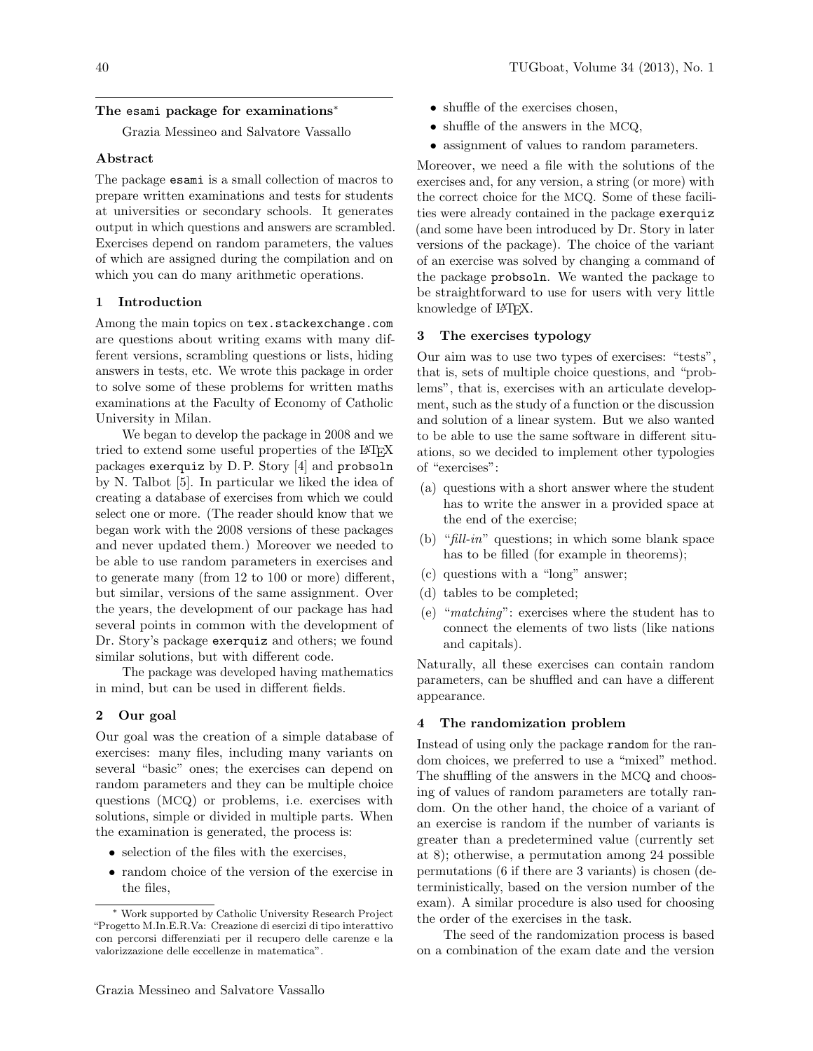# The esami package for examinations<sup>∗</sup>

Grazia Messineo and Salvatore Vassallo

## Abstract

The package esami is a small collection of macros to prepare written examinations and tests for students at universities or secondary schools. It generates output in which questions and answers are scrambled. Exercises depend on random parameters, the values of which are assigned during the compilation and on which you can do many arithmetic operations.

# 1 Introduction

Among the main topics on tex.stackexchange.com are questions about writing exams with many different versions, scrambling questions or lists, hiding answers in tests, etc. We wrote this package in order to solve some of these problems for written maths examinations at the Faculty of Economy of Catholic University in Milan.

We began to develop the package in 2008 and we tried to extend some useful properties of the L<sup>AT</sup>EX packages exerquiz by D. P. Story [\[4\]](#page-6-0) and probsoln by N. Talbot [\[5\]](#page-6-1). In particular we liked the idea of creating a database of exercises from which we could select one or more. (The reader should know that we began work with the 2008 versions of these packages and never updated them.) Moreover we needed to be able to use random parameters in exercises and to generate many (from 12 to 100 or more) different, but similar, versions of the same assignment. Over the years, the development of our package has had several points in common with the development of Dr. Story's package exerquiz and others; we found similar solutions, but with different code.

The package was developed having mathematics in mind, but can be used in different fields.

# 2 Our goal

Our goal was the creation of a simple database of exercises: many files, including many variants on several "basic" ones; the exercises can depend on random parameters and they can be multiple choice questions (MCQ) or problems, i.e. exercises with solutions, simple or divided in multiple parts. When the examination is generated, the process is:

- selection of the files with the exercises,
- random choice of the version of the exercise in the files,
- shuffle of the exercises chosen,
- shuffle of the answers in the MCQ,
- assignment of values to random parameters.

Moreover, we need a file with the solutions of the exercises and, for any version, a string (or more) with the correct choice for the MCQ. Some of these facilities were already contained in the package exerquiz (and some have been introduced by Dr. Story in later versions of the package). The choice of the variant of an exercise was solved by changing a command of the package probsoln. We wanted the package to be straightforward to use for users with very little knowledge of L<sup>AT</sup>FX.

# 3 The exercises typology

Our aim was to use two types of exercises: "tests", that is, sets of multiple choice questions, and "problems", that is, exercises with an articulate development, such as the study of a function or the discussion and solution of a linear system. But we also wanted to be able to use the same software in different situations, so we decided to implement other typologies of "exercises":

- (a) questions with a short answer where the student has to write the answer in a provided space at the end of the exercise;
- (b) " $\hat{H}$ ll-in" questions; in which some blank space has to be filled (for example in theorems);
- (c) questions with a "long" answer;
- (d) tables to be completed;
- (e) "matching": exercises where the student has to connect the elements of two lists (like nations and capitals).

Naturally, all these exercises can contain random parameters, can be shuffled and can have a different appearance.

# 4 The randomization problem

Instead of using only the package random for the random choices, we preferred to use a "mixed" method. The shuffling of the answers in the MCQ and choosing of values of random parameters are totally random. On the other hand, the choice of a variant of an exercise is random if the number of variants is greater than a predetermined value (currently set at 8); otherwise, a permutation among 24 possible permutations (6 if there are 3 variants) is chosen (deterministically, based on the version number of the exam). A similar procedure is also used for choosing the order of the exercises in the task.

The seed of the randomization process is based on a combination of the exam date and the version

<sup>∗</sup> Work supported by Catholic University Research Project "Progetto M.In.E.R.Va: Creazione di esercizi di tipo interattivo con percorsi differenziati per il recupero delle carenze e la valorizzazione delle eccellenze in matematica".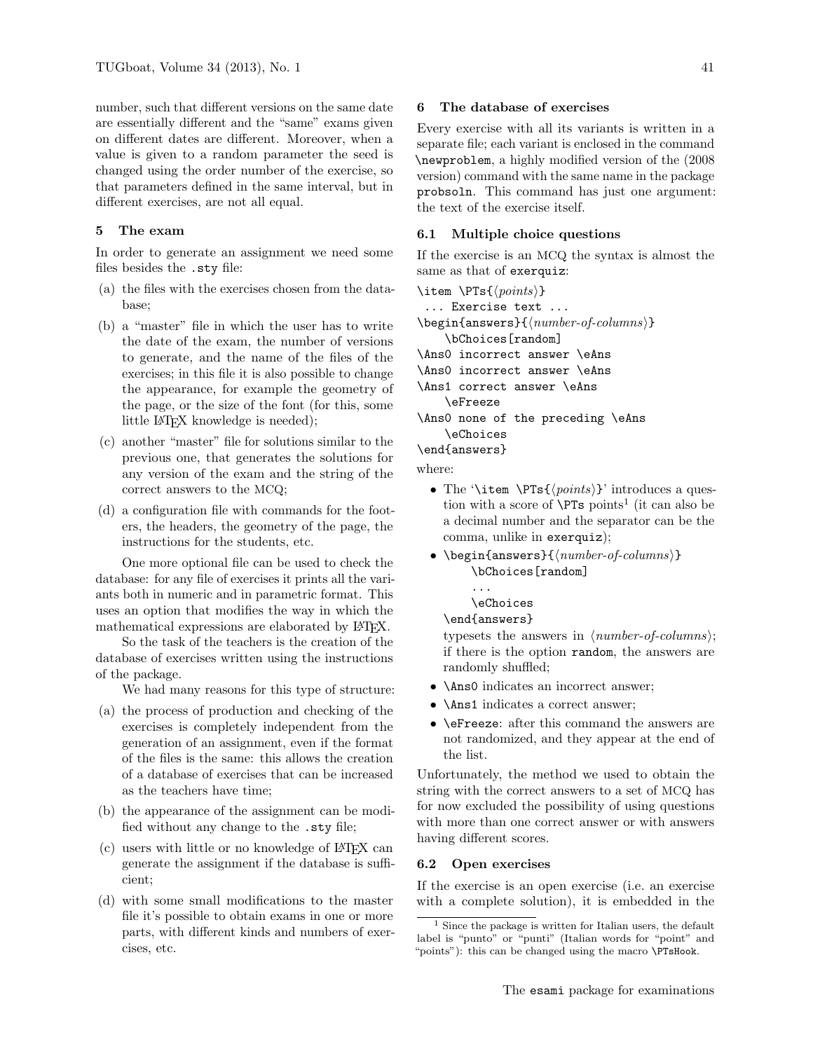number, such that different versions on the same date are essentially different and the "same" exams given on different dates are different. Moreover, when a value is given to a random parameter the seed is changed using the order number of the exercise, so that parameters defined in the same interval, but in different exercises, are not all equal.

# 5 The exam

In order to generate an assignment we need some files besides the .sty file:

- (a) the files with the exercises chosen from the database;
- (b) a "master" file in which the user has to write the date of the exam, the number of versions to generate, and the name of the files of the exercises; in this file it is also possible to change the appearance, for example the geometry of the page, or the size of the font (for this, some little LAT<sub>F</sub>X knowledge is needed);
- (c) another "master" file for solutions similar to the previous one, that generates the solutions for any version of the exam and the string of the correct answers to the MCQ;
- (d) a configuration file with commands for the footers, the headers, the geometry of the page, the instructions for the students, etc.

One more optional file can be used to check the database: for any file of exercises it prints all the variants both in numeric and in parametric format. This uses an option that modifies the way in which the mathematical expressions are elaborated by L<sup>AT</sup>FX.

So the task of the teachers is the creation of the database of exercises written using the instructions of the package.

We had many reasons for this type of structure:

- (a) the process of production and checking of the exercises is completely independent from the generation of an assignment, even if the format of the files is the same: this allows the creation of a database of exercises that can be increased as the teachers have time;
- (b) the appearance of the assignment can be modified without any change to the .sty file;
- (c) users with little or no knowledge of LATEX can generate the assignment if the database is sufficient;
- (d) with some small modifications to the master file it's possible to obtain exams in one or more parts, with different kinds and numbers of exercises, etc.

### 6 The database of exercises

Every exercise with all its variants is written in a separate file; each variant is enclosed in the command \newproblem, a highly modified version of the (2008 version) command with the same name in the package probsoln. This command has just one argument: the text of the exercise itself.

# 6.1 Multiple choice questions

If the exercise is an MCQ the syntax is almost the same as that of exerquiz:

```
\item \PTs{\langle points\rangle}
   ... Exercise text ...
\begin{equation*} \begin{equation*} \begin{bmatrix*}[l] \text{login}\end{bmatrix*} \end{equation*} \begin{equation*} \begin{bmatrix*}[l] \text{login}\end{bmatrix*} \end{equation*} \begin{equation*} \begin{bmatrix*}[l] \text{login}\end{bmatrix*} \end{equation*} \begin{equation*} \begin{bmatrix*}[l] \text{login}\end{bmatrix*} \end{equation*} \begin{equation*} \begin{bmatrix*}[l] \text{login}\end{bmatrix*} \begin{bmatrix*}[l] \text{login}\end{bmatrix*} \end{equation*} \begin{equation*} \begin{bmatrix*}[l] \\bChoices[random]
\Ans0 incorrect answer \eAns
\Ans0 incorrect answer \eAns
\Ans1 correct answer \eAns
           \eFreeze
\Ans0 none of the preceding \eAns
            \eChoices
\end{answers}
```
where:

- The '\item \PTs{ $\{points\}'$  introduces a question with a score of  $\P{Ts}$  points<sup>[1](#page-1-0)</sup> (it can also be a decimal number and the separator can be the comma, unlike in exerquiz);
- \begin{answers}{ $\langle number-of-columns\rangle$ } \bChoices[random]
	- ... \eChoices

#### \end{answers}

typesets the answers in  $\langle number-of-column\rangle;$ if there is the option random, the answers are randomly shuffled;

- \Ans0 indicates an incorrect answer;
- **\Ans1** indicates a correct answer:
- \eFreeze: after this command the answers are not randomized, and they appear at the end of the list.

Unfortunately, the method we used to obtain the string with the correct answers to a set of MCQ has for now excluded the possibility of using questions with more than one correct answer or with answers having different scores.

#### 6.2 Open exercises

If the exercise is an open exercise (i.e. an exercise with a complete solution), it is embedded in the

<span id="page-1-0"></span><sup>&</sup>lt;sup>1</sup> Since the package is written for Italian users, the default label is "punto" or "punti" (Italian words for "point" and "points"): this can be changed using the macro \PTsHook.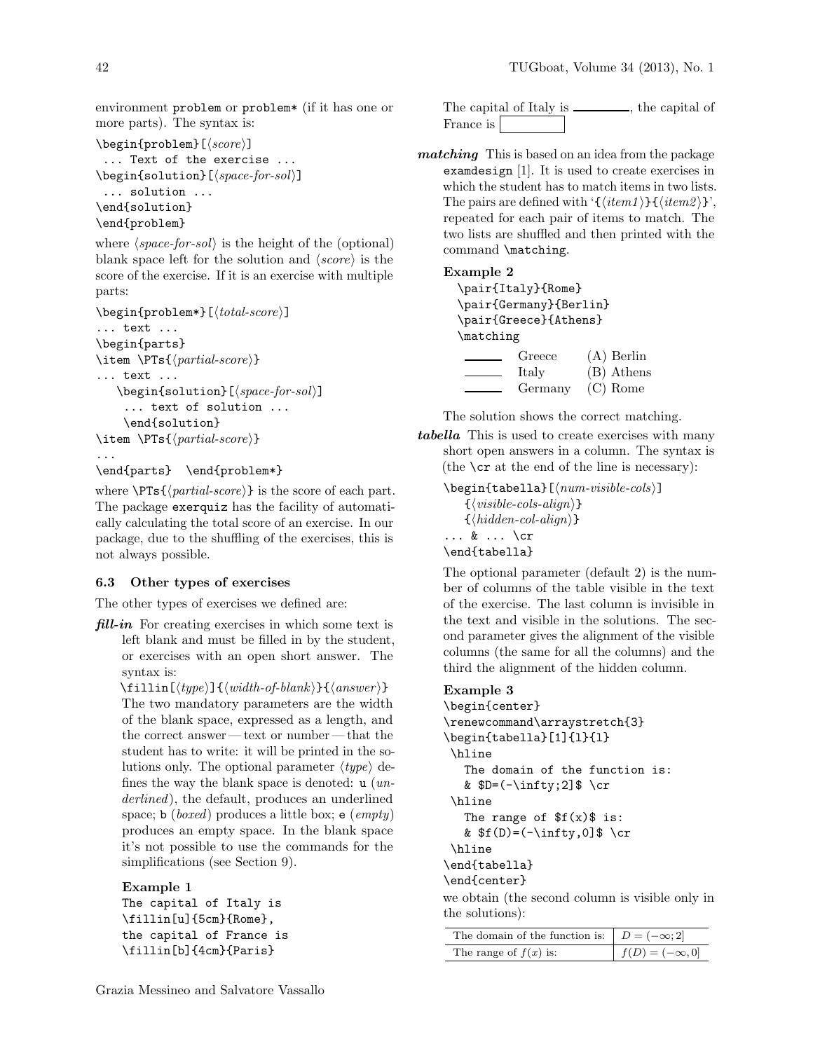environment problem or problem\* (if it has one or more parts). The syntax is:

```
\begin{equation*} \begin{problem}[\langle score \rangle]
  ... Text of the exercise ...
\begin{align} \begin{bmatrix} s &{solution} \\ s &{in{sol} \end{bmatrix} \end{align}... solution ...
\end{solution}
\end{problem}
```
where  $\langle space\text{-}for\text{-}sol\rangle$  is the height of the (optional) blank space left for the solution and  $\langle score \rangle$  is the score of the exercise. If it is an exercise with multiple parts:

```
\begin{equation*}[\begin{equation*}]
... text ...
\begin{parts}
\item \PTs{\{partial-score\}}
... text ...
   \begin{equation}\[\langle space\text{-}for\text{-}sol\rangle\]... text of solution ...
    \end{solution}
\item \PTs{\{partial-score\}}
...
\end{parts} \end{problem*}
```
where  $\P{Ts}{\lbrace\mathit{partial-score}\rbrace}$  is the score of each part. The package exerquiz has the facility of automatically calculating the total score of an exercise. In our package, due to the shuffling of the exercises, this is not always possible.

#### 6.3 Other types of exercises

The other types of exercises we defined are:

 $fill-in$  For creating exercises in which some text is left blank and must be filled in by the student, or exercises with an open short answer. The syntax is:

 $\tilde{\text{fillin}[\langle type \rangle]\{ \langle width\text{-}of\text{-}blank \rangle\} \{ \langle answer \rangle\} }$ The two mandatory parameters are the width of the blank space, expressed as a length, and the correct answer — text or number — that the student has to write: it will be printed in the solutions only. The optional parameter  $\langle type \rangle$  defines the way the blank space is denoted:  $u$  (*un*derlined), the default, produces an underlined space; **b** (*boxed*) produces a little box; **e**  $(empty)$ produces an empty space. In the blank space it's not possible to use the commands for the simplifications (see Section [9\)](#page-4-0).

#### Example 1

```
The capital of Italy is
\fillin[u]{5cm}{Rome},
the capital of France is
\fillin[b]{4cm}{Paris}
```

```
The capital of Italy is _______, the capital of
France is
```
matching This is based on an idea from the package examdesign [\[1\]](#page-6-2). It is used to create exercises in which the student has to match items in two lists. The pairs are defined with ' ${\langle \langle item1 \rangle} {\{\langle item2 \rangle\}}'$ , repeated for each pair of items to match. The two lists are shuffled and then printed with the command \matching.

# Example 2

```
\pair{Italy}{Rome}
\pair{Germany}{Berlin}
\pair{Greece}{Athens}
\matching
        Greece (A) Berlin
        Italy (B) Athens
        Germany (C) Rome
```
The solution shows the correct matching.

tabella This is used to create exercises with many short open answers in a column. The syntax is (the \cr at the end of the line is necessary):

 $\begin{equation*}$  \begin{tabella}[ $\langle num-visible-cols\rangle$ ]  $\{\langle visible-cols\text{-}align\rangle\}$  $\{\langle hidden\text{-}col\text{-}align\rangle\}$ ... & ... \cr \end{tabella}

The optional parameter (default 2) is the number of columns of the table visible in the text of the exercise. The last column is invisible in the text and visible in the solutions. The second parameter gives the alignment of the visible columns (the same for all the columns) and the third the alignment of the hidden column.

# Example 3

```
\begin{center}
\renewcommand\arraystretch{3}
\begin{tabella}[1]{l}{l}
\hline
  The domain of the function is:
  & D=(-\infty;2]$ \cr
\hline
  The range of f(x) is:
  & f(D)=(-\infty,0] \cr
\hline
\end{tabella}
\end{center}
```
we obtain (the second column is visible only in the solutions):

| The domain of the function is: $D = (-\infty; 2]$ |                       |
|---------------------------------------------------|-----------------------|
| The range of $f(x)$ is:                           | $f(D) = (-\infty, 0]$ |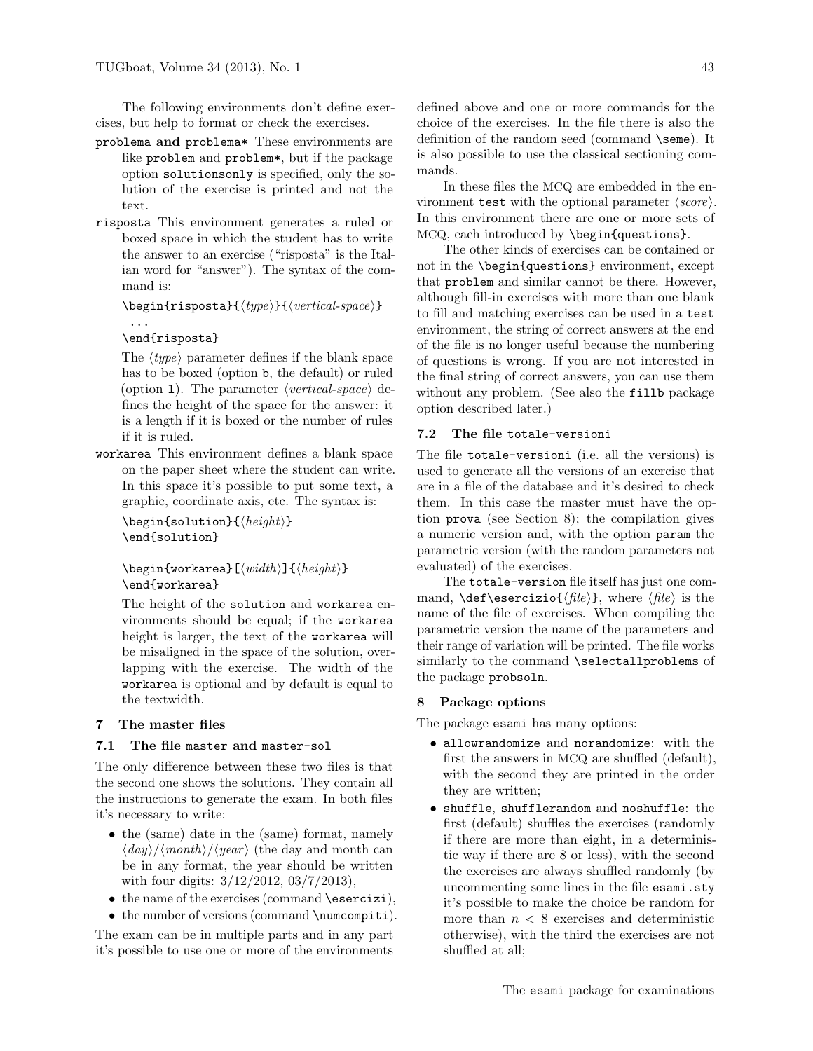The following environments don't define exercises, but help to format or check the exercises.

- problema and problema\* These environments are like problem and problem\*, but if the package option solutionsonly is specified, only the solution of the exercise is printed and not the text.
- risposta This environment generates a ruled or boxed space in which the student has to write the answer to an exercise ("risposta" is the Italian word for "answer"). The syntax of the command is:

```
\begin{equation*} \begin{risposta}{\langle type \rangle}{\langle vertical-space \rangle}
```

```
\end{risposta}
```
...

The  $\langle type \rangle$  parameter defines if the blank space has to be boxed (option b, the default) or ruled (option 1). The parameter  $\langle vertical-space \rangle$  defines the height of the space for the answer: it is a length if it is boxed or the number of rules if it is ruled.

workarea This environment defines a blank space on the paper sheet where the student can write. In this space it's possible to put some text, a graphic, coordinate axis, etc. The syntax is:

 $\begin{align} \begin{cases} \frac{1}{\theta} & \text{if } \theta \leq \theta \end{cases} \end{align}$ \end{solution}

 $\begin{align} \begin{bmatrix} \text{width} \end{bmatrix} \end{align}$ \end{workarea}

The height of the solution and workarea environments should be equal; if the workarea height is larger, the text of the workarea will be misaligned in the space of the solution, overlapping with the exercise. The width of the workarea is optional and by default is equal to the textwidth.

# 7 The master files

# 7.1 The file master and master-sol

The only difference between these two files is that the second one shows the solutions. They contain all the instructions to generate the exam. In both files it's necessary to write:

- the (same) date in the (same) format, namely  $\langle day \rangle / \langle month \rangle / \langle year \rangle$  (the day and month can be in any format, the year should be written with four digits: 3/12/2012, 03/7/2013),
- the name of the exercises (command \esercizi),
- the number of versions (command \numcompiti).

The exam can be in multiple parts and in any part it's possible to use one or more of the environments

defined above and one or more commands for the choice of the exercises. In the file there is also the definition of the random seed (command **\seme**). It is also possible to use the classical sectioning commands.

In these files the MCQ are embedded in the environment test with the optional parameter  $\langle score \rangle$ . In this environment there are one or more sets of MCQ, each introduced by \begin{questions}.

The other kinds of exercises can be contained or not in the \begin{questions} environment, except that problem and similar cannot be there. However, although fill-in exercises with more than one blank to fill and matching exercises can be used in a test environment, the string of correct answers at the end of the file is no longer useful because the numbering of questions is wrong. If you are not interested in the final string of correct answers, you can use them without any problem. (See also the fillb package option described later.)

# 7.2 The file totale-versioni

The file totale-versioni (i.e. all the versions) is used to generate all the versions of an exercise that are in a file of the database and it's desired to check them. In this case the master must have the option prova (see Section [8\)](#page-3-0); the compilation gives a numeric version and, with the option param the parametric version (with the random parameters not evaluated) of the exercises.

The totale-version file itself has just one command,  $\det\text{zio}\{\text{file}\}\$ , where  $\{\text{file}\}\$  is the name of the file of exercises. When compiling the parametric version the name of the parameters and their range of variation will be printed. The file works similarly to the command \selectallproblems of the package probsoln.

### <span id="page-3-0"></span>8 Package options

The package esami has many options:

- allowrandomize and norandomize: with the first the answers in MCQ are shuffled (default), with the second they are printed in the order they are written;
- shuffle, shufflerandom and noshuffle: the first (default) shuffles the exercises (randomly if there are more than eight, in a deterministic way if there are 8 or less), with the second the exercises are always shuffled randomly (by uncommenting some lines in the file esami.sty it's possible to make the choice be random for more than  $n < 8$  exercises and deterministic otherwise), with the third the exercises are not shuffled at all;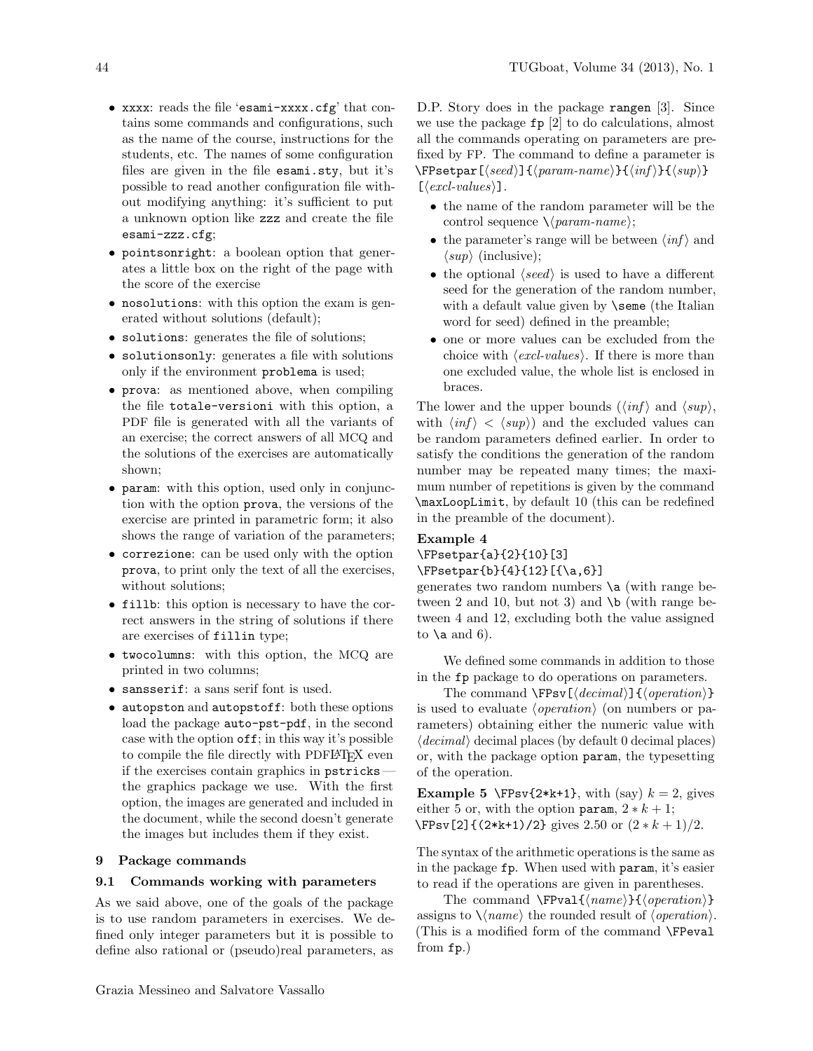- xxxx: reads the file 'esami-xxxx.cfg' that contains some commands and configurations, such as the name of the course, instructions for the students, etc. The names of some configuration files are given in the file esami.sty, but it's possible to read another configuration file without modifying anything: it's sufficient to put a unknown option like zzz and create the file esami-zzz.cfg;
- pointsonright: a boolean option that generates a little box on the right of the page with the score of the exercise
- nosolutions: with this option the exam is generated without solutions (default);
- solutions: generates the file of solutions;
- solutionsonly: generates a file with solutions only if the environment problema is used;
- prova: as mentioned above, when compiling the file totale-versioni with this option, a PDF file is generated with all the variants of an exercise; the correct answers of all MCQ and the solutions of the exercises are automatically shown;
- param: with this option, used only in conjunction with the option prova, the versions of the exercise are printed in parametric form; it also shows the range of variation of the parameters;
- correzione: can be used only with the option prova, to print only the text of all the exercises, without solutions;
- fillb: this option is necessary to have the correct answers in the string of solutions if there are exercises of fillin type;
- twocolumns: with this option, the MCQ are printed in two columns;
- sansserif: a sans serif font is used.
- autopston and autopstoff: both these options load the package auto-pst-pdf, in the second case with the option off; in this way it's possible to compile the file directly with PDFL<sup>AT</sup>FX even if the exercises contain graphics in pstricks the graphics package we use. With the first option, the images are generated and included in the document, while the second doesn't generate the images but includes them if they exist.

# <span id="page-4-0"></span>9 Package commands

### 9.1 Commands working with parameters

As we said above, one of the goals of the package is to use random parameters in exercises. We defined only integer parameters but it is possible to define also rational or (pseudo)real parameters, as

D.P. Story does in the package rangen [\[3\]](#page-6-3). Since we use the package fp [\[2\]](#page-6-4) to do calculations, almost all the commands operating on parameters are prefixed by FP. The command to define a parameter is  $\P$ setpar $[\langle seed \rangle]\{\langle param\text{-}name \rangle\}\{\langle inf \rangle\}\{\langle sup \rangle\}$  $[\langle \text{excl-values} \rangle]$ .

- the name of the random parameter will be the control sequence  $\langle$  (*param-name*);
- the parameter's range will be between  $\langle \text{inf} \rangle$  and  $\langle sup \rangle$  (inclusive);
- the optional  $\langle seed \rangle$  is used to have a different seed for the generation of the random number, with a default value given by **\seme** (the Italian word for seed) defined in the preamble;
- one or more values can be excluded from the choice with  $\langle \text{excl-values} \rangle$ . If there is more than one excluded value, the whole list is enclosed in braces.

The lower and the upper bounds  $(\langle \text{inf} \rangle \text{ and } \langle \text{sup} \rangle,$ with  $\langle \text{inf} \rangle$  <  $\langle \text{sup} \rangle$  and the excluded values can be random parameters defined earlier. In order to satisfy the conditions the generation of the random number may be repeated many times; the maximum number of repetitions is given by the command \maxLoopLimit, by default 10 (this can be redefined in the preamble of the document).

# Example 4

\FPsetpar{a}{2}{10}[3]

```
\FPsetpar{b}{4}{12}[{\a,6}]
```
generates two random numbers  $\a$  (with range between 2 and 10, but not 3) and  $\mathcal{b}$  (with range between 4 and 12, excluding both the value assigned to  $\lambda$  and 6).

We defined some commands in addition to those in the fp package to do operations on parameters.

The command  $\Fpsv[\langle decimal\rangle]\{\langle operation\rangle\}$ is used to evaluate  $\langle operation \rangle$  (on numbers or parameters) obtaining either the numeric value with  $\langle decimal \rangle$  decimal places (by default 0 decimal places) or, with the package option param, the typesetting of the operation.

**Example 5** \FPsv{2\*k+1}, with (say)  $k = 2$ , gives either 5 or, with the option param,  $2 * k + 1$ ;  $\Fpsv[2]$ {(2\*k+1)/2} gives 2.50 or  $(2 * k + 1)/2$ .

The syntax of the arithmetic operations is the same as in the package fp. When used with param, it's easier to read if the operations are given in parentheses.

The command  $\F{value}{\{open\}}$ assigns to  $\langle \langle name \rangle$  the rounded result of  $\langle operation \rangle$ . (This is a modified form of the command \FPeval from fp.)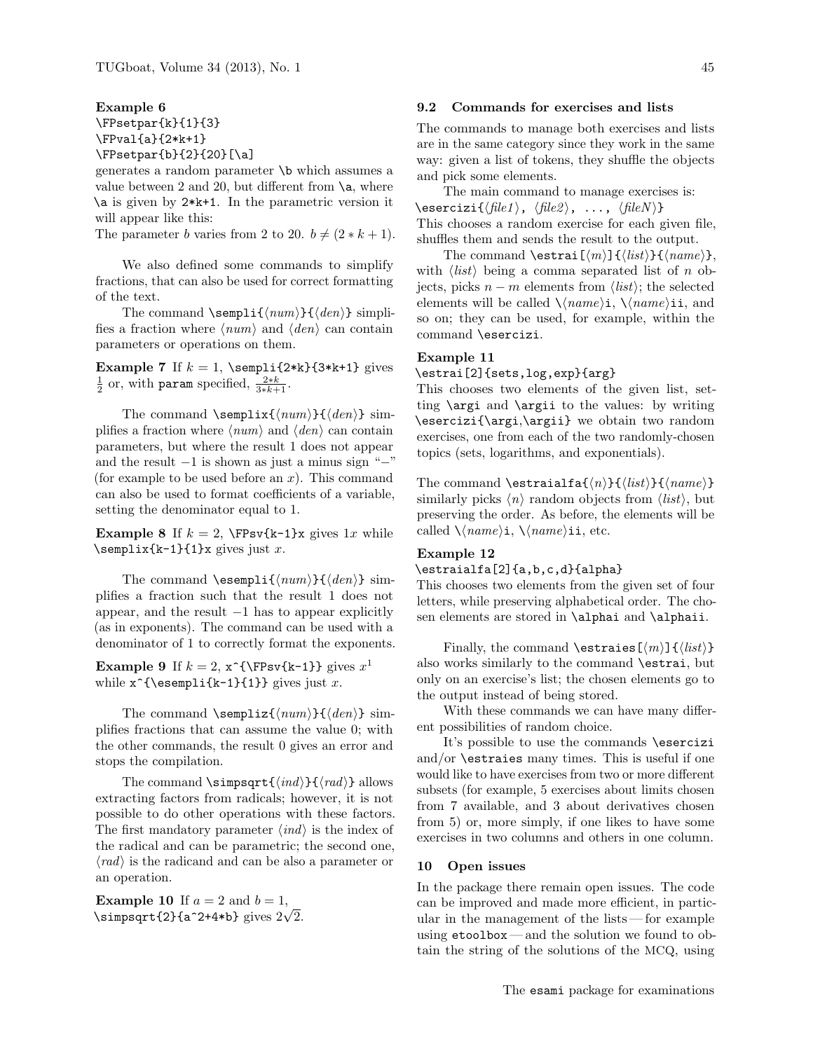Example 6 \FPsetpar{k}{1}{3} \FPval{a}{2\*k+1} \FPsetpar{b}{2}{20}[\a]

generates a random parameter \b which assumes a value between 2 and 20, but different from  $\a$ , where \a is given by 2\*k+1. In the parametric version it will appear like this:

The parameter b varies from 2 to 20.  $b \neq (2 * k + 1)$ .

We also defined some commands to simplify fractions, that can also be used for correct formatting of the text.

The command  $\sempi_{\{num\}}({den})$  simplifies a fraction where  $\langle num \rangle$  and  $\langle den \rangle$  can contain parameters or operations on them.

Example 7 If  $k = 1$ , \sempli{2\*k}{3\*k+1} gives  $\frac{1}{2}$  or, with param specified,  $\frac{2*k}{3*k+1}$ .

The command \semplix{ $\langle num \rangle$ } { $\langle den \rangle$ } simplifies a fraction where  $\langle num \rangle$  and  $\langle den \rangle$  can contain parameters, but where the result 1 does not appear and the result  $-1$  is shown as just a minus sign " $-$ " (for example to be used before an  $x$ ). This command can also be used to format coefficients of a variable, setting the denominator equal to 1.

**Example 8** If  $k = 2$ ,  $\Fpsv\{k-1\}x$  gives 1x while  $\text{semplex{k-1}{1}x gives just x.$ 

The command  $\text{semplif}(num)$   $\{den\}$  simplifies a fraction such that the result 1 does not appear, and the result  $-1$  has to appear explicitly (as in exponents). The command can be used with a denominator of 1 to correctly format the exponents.

**Example 9** If  $k = 2$ ,  $x^{\{\Fpsv{k-1}\}\}$  gives  $x^1$ while  $x^{\text{sempli{k-1}{1}}$  gives just x.

The command \sempliz{ $\langle num \rangle$ } { $\langle den \rangle$ } simplifies fractions that can assume the value 0; with the other commands, the result 0 gives an error and stops the compilation.

The command  $\sim\frac{\{ind\}}{\{rad\}}$  allows extracting factors from radicals; however, it is not possible to do other operations with these factors. The first mandatory parameter  $\langle ind \rangle$  is the index of the radical and can be parametric; the second one,  $\langle rad \rangle$  is the radicand and can be also a parameter or an operation.

**Example 10** If  $a = 2$  and  $b = 1$ , **Example 10** If  $a = 2$  and  $b = 1$ ,<br>\simpsqrt{2}{a^2+4\*b} gives  $2\sqrt{2}$ .

# 9.2 Commands for exercises and lists

The commands to manage both exercises and lists are in the same category since they work in the same way: given a list of tokens, they shuffle the objects and pick some elements.

The main command to manage exercises is: \esercizi{ $\langle file1 \rangle$ ,  $\langle file2 \rangle$ , ...,  $\langle fileN \rangle$ } This chooses a random exercise for each given file, shuffles them and sends the result to the output.

The command \estrai $\{\langle m \rangle\} {\langle list \rangle}{\langle name \rangle},$ with  $\langle list \rangle$  being a comma separated list of n objects, picks  $n - m$  elements from  $\langle list \rangle$ ; the selected elements will be called  $\langle name \rangle$ i,  $\langle name \rangle$ ii, and so on; they can be used, for example, within the command \esercizi.

## Example 11

\estrai[2]{sets,log,exp}{arg}

This chooses two elements of the given list, setting \argi and \argii to the values: by writing \esercizi{\argi,\argii} we obtain two random exercises, one from each of the two randomly-chosen topics (sets, logarithms, and exponentials).

The command \estraialfa{ $\langle n \rangle$ }{ $\langle list \rangle$ }{ $\langle name \rangle$ } similarly picks  $\langle n \rangle$  random objects from  $\langle list \rangle$ , but preserving the order. As before, the elements will be called  $\langle name \rangle$ i,  $\langle name \rangle$ ii, etc.

# Example 12

### \estraialfa[2]{a,b,c,d}{alpha}

This chooses two elements from the given set of four letters, while preserving alphabetical order. The chosen elements are stored in \alphai and \alphaii.

Finally, the command \estraies[ $\langle m \rangle$ ]{ $\langle list \rangle$ } also works similarly to the command \estrai, but only on an exercise's list; the chosen elements go to the output instead of being stored.

With these commands we can have many different possibilities of random choice.

It's possible to use the commands \esercizi and/or \estraies many times. This is useful if one would like to have exercises from two or more different subsets (for example, 5 exercises about limits chosen from 7 available, and 3 about derivatives chosen from 5) or, more simply, if one likes to have some exercises in two columns and others in one column.

#### 10 Open issues

In the package there remain open issues. The code can be improved and made more efficient, in particular in the management of the lists— for example using etoolbox— and the solution we found to obtain the string of the solutions of the MCQ, using